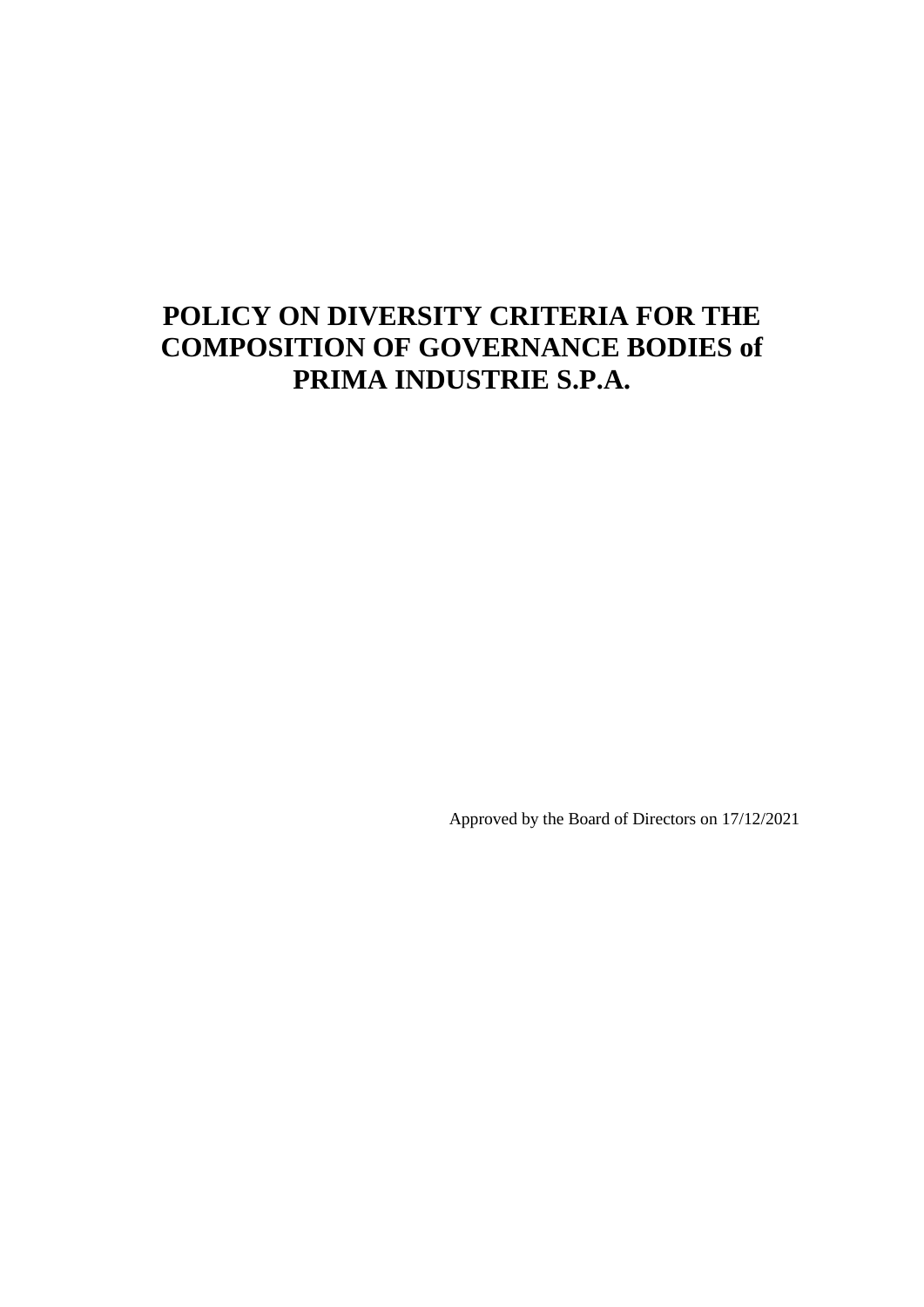# **POLICY ON DIVERSITY CRITERIA FOR THE COMPOSITION OF GOVERNANCE BODIES of PRIMA INDUSTRIE S.P.A.**

Approved by the Board of Directors on 17/12/2021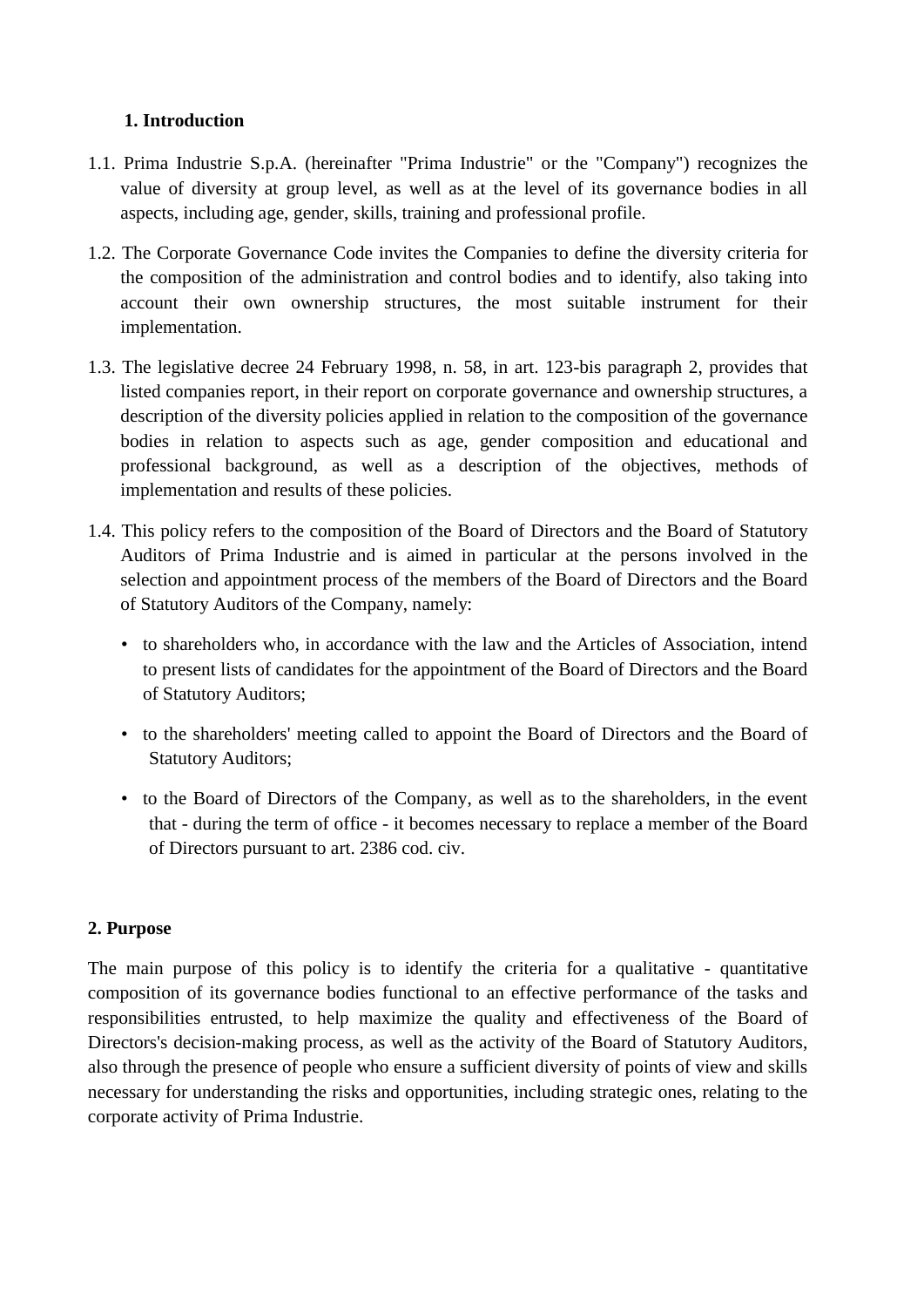## **1. Introduction**

- 1.1. Prima Industrie S.p.A. (hereinafter "Prima Industrie" or the "Company") recognizes the value of diversity at group level, as well as at the level of its governance bodies in all aspects, including age, gender, skills, training and professional profile.
- 1.2. The Corporate Governance Code invites the Companies to define the diversity criteria for the composition of the administration and control bodies and to identify, also taking into account their own ownership structures, the most suitable instrument for their implementation.
- 1.3. The legislative decree 24 February 1998, n. 58, in art. 123-bis paragraph 2, provides that listed companies report, in their report on corporate governance and ownership structures, a description of the diversity policies applied in relation to the composition of the governance bodies in relation to aspects such as age, gender composition and educational and professional background, as well as a description of the objectives, methods of implementation and results of these policies.
- 1.4. This policy refers to the composition of the Board of Directors and the Board of Statutory Auditors of Prima Industrie and is aimed in particular at the persons involved in the selection and appointment process of the members of the Board of Directors and the Board of Statutory Auditors of the Company, namely:
	- to shareholders who, in accordance with the law and the Articles of Association, intend to present lists of candidates for the appointment of the Board of Directors and the Board of Statutory Auditors;
	- to the shareholders' meeting called to appoint the Board of Directors and the Board of Statutory Auditors;
	- to the Board of Directors of the Company, as well as to the shareholders, in the event that - during the term of office - it becomes necessary to replace a member of the Board of Directors pursuant to art. 2386 cod. civ.

## **2. Purpose**

The main purpose of this policy is to identify the criteria for a qualitative - quantitative composition of its governance bodies functional to an effective performance of the tasks and responsibilities entrusted, to help maximize the quality and effectiveness of the Board of Directors's decision-making process, as well as the activity of the Board of Statutory Auditors, also through the presence of people who ensure a sufficient diversity of points of view and skills necessary for understanding the risks and opportunities, including strategic ones, relating to the corporate activity of Prima Industrie.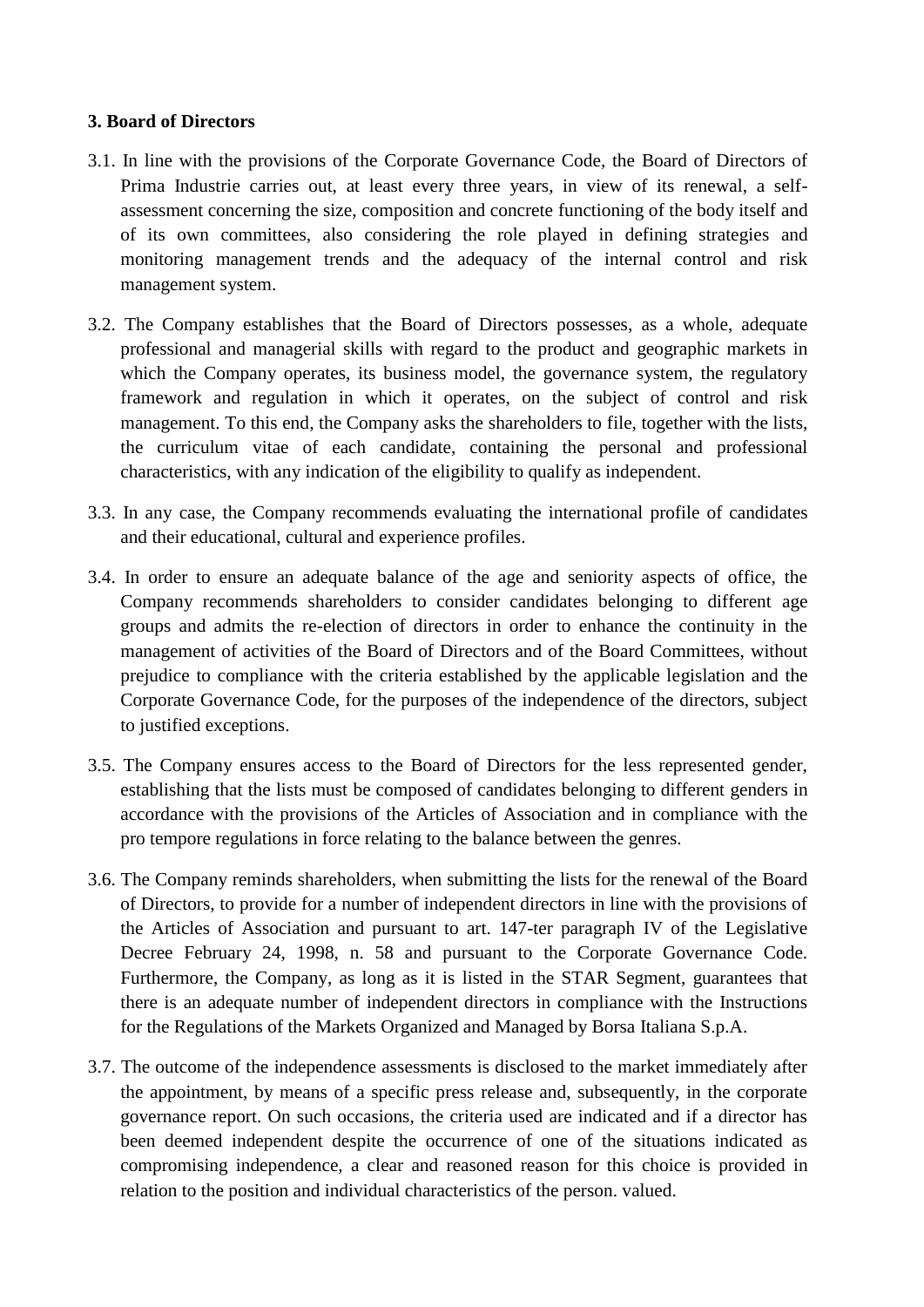#### **3. Board of Directors**

- 3.1. In line with the provisions of the Corporate Governance Code, the Board of Directors of Prima Industrie carries out, at least every three years, in view of its renewal, a selfassessment concerning the size, composition and concrete functioning of the body itself and of its own committees, also considering the role played in defining strategies and monitoring management trends and the adequacy of the internal control and risk management system.
- 3.2. The Company establishes that the Board of Directors possesses, as a whole, adequate professional and managerial skills with regard to the product and geographic markets in which the Company operates, its business model, the governance system, the regulatory framework and regulation in which it operates, on the subject of control and risk management. To this end, the Company asks the shareholders to file, together with the lists, the curriculum vitae of each candidate, containing the personal and professional characteristics, with any indication of the eligibility to qualify as independent.
- 3.3. In any case, the Company recommends evaluating the international profile of candidates and their educational, cultural and experience profiles.
- 3.4. In order to ensure an adequate balance of the age and seniority aspects of office, the Company recommends shareholders to consider candidates belonging to different age groups and admits the re-election of directors in order to enhance the continuity in the management of activities of the Board of Directors and of the Board Committees, without prejudice to compliance with the criteria established by the applicable legislation and the Corporate Governance Code, for the purposes of the independence of the directors, subject to justified exceptions.
- 3.5. The Company ensures access to the Board of Directors for the less represented gender, establishing that the lists must be composed of candidates belonging to different genders in accordance with the provisions of the Articles of Association and in compliance with the pro tempore regulations in force relating to the balance between the genres.
- 3.6. The Company reminds shareholders, when submitting the lists for the renewal of the Board of Directors, to provide for a number of independent directors in line with the provisions of the Articles of Association and pursuant to art. 147-ter paragraph IV of the Legislative Decree February 24, 1998, n. 58 and pursuant to the Corporate Governance Code. Furthermore, the Company, as long as it is listed in the STAR Segment, guarantees that there is an adequate number of independent directors in compliance with the Instructions for the Regulations of the Markets Organized and Managed by Borsa Italiana S.p.A.
- 3.7. The outcome of the independence assessments is disclosed to the market immediately after the appointment, by means of a specific press release and, subsequently, in the corporate governance report. On such occasions, the criteria used are indicated and if a director has been deemed independent despite the occurrence of one of the situations indicated as compromising independence, a clear and reasoned reason for this choice is provided in relation to the position and individual characteristics of the person. valued.